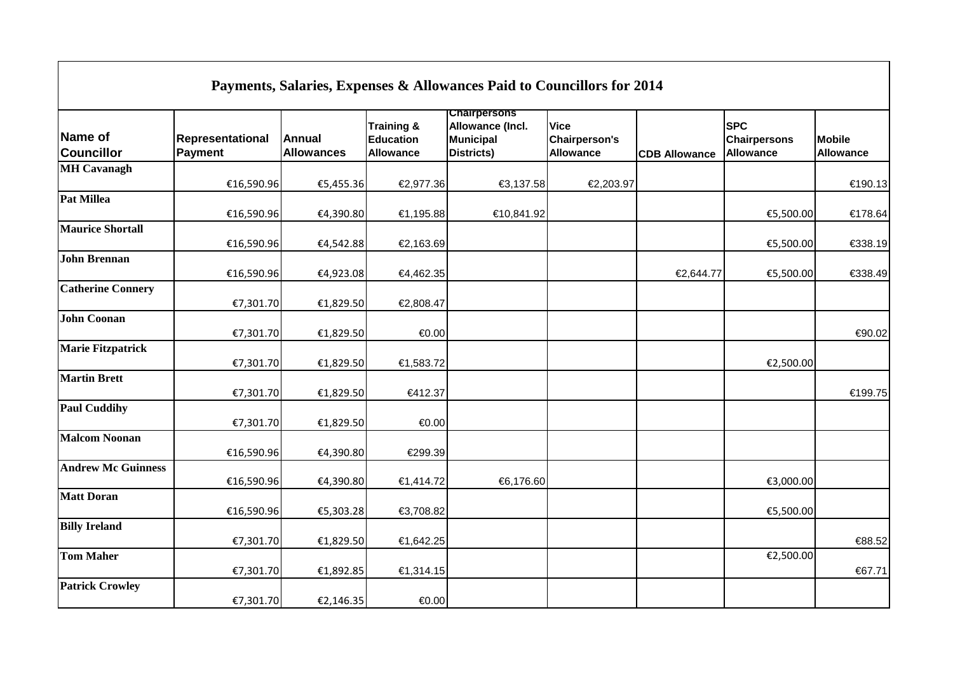| Payments, Salaries, Expenses & Allowances Paid to Councillors for 2014 |                             |                                    |                                                               |                                                                            |                                                         |                      |                                                       |                                   |
|------------------------------------------------------------------------|-----------------------------|------------------------------------|---------------------------------------------------------------|----------------------------------------------------------------------------|---------------------------------------------------------|----------------------|-------------------------------------------------------|-----------------------------------|
| Name of<br><b>Councillor</b>                                           | Representational<br>Payment | <b>Annual</b><br><b>Allowances</b> | <b>Training &amp;</b><br><b>Education</b><br><b>Allowance</b> | <b>Chairpersons</b><br>Allowance (Incl.<br>Municipal<br><b>Districts</b> ) | <b>Vice</b><br><b>Chairperson's</b><br><b>Allowance</b> | <b>CDB Allowance</b> | <b>SPC</b><br><b>Chairpersons</b><br><b>Allowance</b> | <b>Mobile</b><br><b>Allowance</b> |
| <b>MH Cavanagh</b>                                                     | €16,590.96                  | €5,455.36                          | €2,977.36                                                     | €3,137.58                                                                  | €2,203.97                                               |                      |                                                       | €190.13                           |
| <b>Pat Millea</b>                                                      | €16,590.96                  | €4,390.80                          | €1,195.88                                                     | €10,841.92                                                                 |                                                         |                      | €5,500.00                                             | €178.64                           |
| <b>Maurice Shortall</b>                                                | €16,590.96                  | €4,542.88                          | €2,163.69                                                     |                                                                            |                                                         |                      | €5,500.00                                             | €338.19                           |
| <b>John Brennan</b>                                                    | €16,590.96                  | €4,923.08                          | €4,462.35                                                     |                                                                            |                                                         | €2,644.77            | €5,500.00                                             | €338.49                           |
| <b>Catherine Connery</b>                                               | €7,301.70                   | €1,829.50                          | €2,808.47                                                     |                                                                            |                                                         |                      |                                                       |                                   |
| <b>John Coonan</b>                                                     | €7,301.70                   | €1,829.50                          | €0.00                                                         |                                                                            |                                                         |                      |                                                       | €90.02                            |
| <b>Marie Fitzpatrick</b>                                               | €7,301.70                   | €1,829.50                          | €1,583.72                                                     |                                                                            |                                                         |                      | €2,500.00                                             |                                   |
| <b>Martin Brett</b>                                                    | €7,301.70                   | €1,829.50                          | €412.37                                                       |                                                                            |                                                         |                      |                                                       | €199.75                           |
| <b>Paul Cuddihy</b>                                                    | €7,301.70                   | €1,829.50                          | €0.00                                                         |                                                                            |                                                         |                      |                                                       |                                   |
| <b>Malcom Noonan</b>                                                   | €16,590.96                  | €4,390.80                          | €299.39                                                       |                                                                            |                                                         |                      |                                                       |                                   |
| <b>Andrew Mc Guinness</b>                                              | €16,590.96                  | €4,390.80                          | €1,414.72                                                     | €6,176.60                                                                  |                                                         |                      | €3,000.00                                             |                                   |
| <b>Matt Doran</b>                                                      | €16,590.96                  | €5,303.28                          | €3,708.82                                                     |                                                                            |                                                         |                      | €5,500.00                                             |                                   |
| <b>Billy Ireland</b>                                                   | €7,301.70                   | €1,829.50                          | €1,642.25                                                     |                                                                            |                                                         |                      |                                                       | €88.52                            |
| <b>Tom Maher</b>                                                       | €7,301.70                   | €1,892.85                          | €1,314.15                                                     |                                                                            |                                                         |                      | €2,500.00                                             | €67.71                            |
| <b>Patrick Crowley</b>                                                 | €7,301.70                   | €2,146.35                          | € $0.00$                                                      |                                                                            |                                                         |                      |                                                       |                                   |